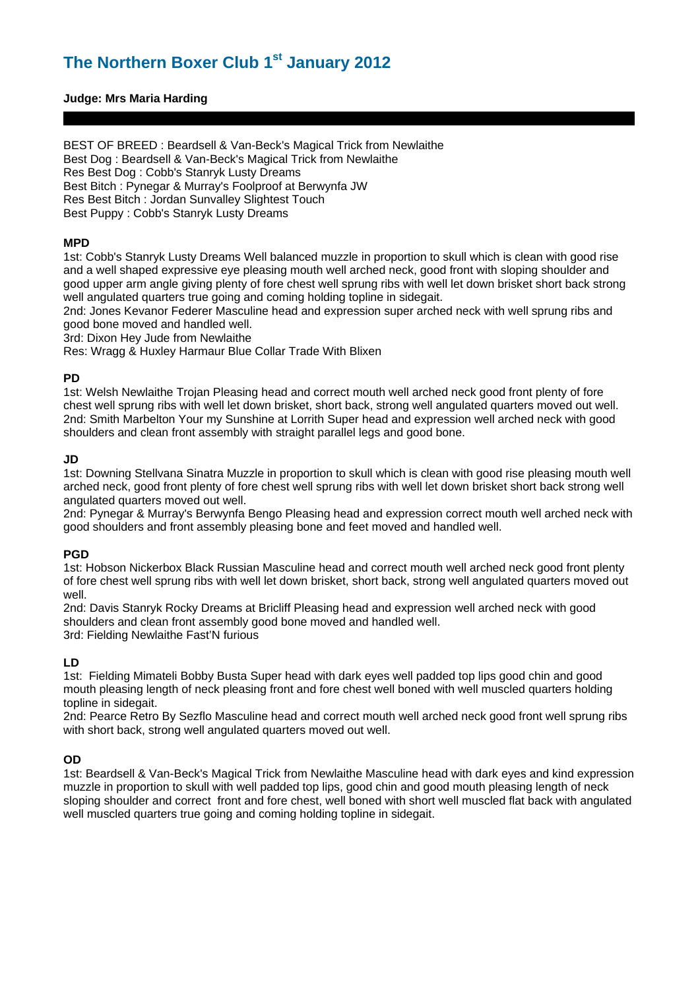### **Judge: Mrs Maria Harding**

BEST OF BREED : Beardsell & Van-Beck's Magical Trick from Newlaithe Best Dog : Beardsell & Van-Beck's Magical Trick from Newlaithe Res Best Dog : Cobb's Stanryk Lusty Dreams Best Bitch : Pynegar & Murray's Foolproof at Berwynfa JW Res Best Bitch : Jordan Sunvalley Slightest Touch Best Puppy : Cobb's Stanryk Lusty Dreams

#### **MPD**

1st: Cobb's Stanryk Lusty Dreams Well balanced muzzle in proportion to skull which is clean with good rise and a well shaped expressive eye pleasing mouth well arched neck, good front with sloping shoulder and good upper arm angle giving plenty of fore chest well sprung ribs with well let down brisket short back strong well angulated quarters true going and coming holding topline in sidegait.

2nd: Jones Kevanor Federer Masculine head and expression super arched neck with well sprung ribs and good bone moved and handled well.

3rd: Dixon Hey Jude from Newlaithe

Res: Wragg & Huxley Harmaur Blue Collar Trade With Blixen

#### **PD**

1st: Welsh Newlaithe Trojan Pleasing head and correct mouth well arched neck good front plenty of fore chest well sprung ribs with well let down brisket, short back, strong well angulated quarters moved out well. 2nd: Smith Marbelton Your my Sunshine at Lorrith Super head and expression well arched neck with good shoulders and clean front assembly with straight parallel legs and good bone.

### **JD**

1st: Downing Stellvana Sinatra Muzzle in proportion to skull which is clean with good rise pleasing mouth well arched neck, good front plenty of fore chest well sprung ribs with well let down brisket short back strong well angulated quarters moved out well.

2nd: Pynegar & Murray's Berwynfa Bengo Pleasing head and expression correct mouth well arched neck with good shoulders and front assembly pleasing bone and feet moved and handled well.

#### **PGD**

1st: Hobson Nickerbox Black Russian Masculine head and correct mouth well arched neck good front plenty of fore chest well sprung ribs with well let down brisket, short back, strong well angulated quarters moved out well.

2nd: Davis Stanryk Rocky Dreams at Bricliff Pleasing head and expression well arched neck with good shoulders and clean front assembly good bone moved and handled well. 3rd: Fielding Newlaithe Fast'N furious

### **LD**

1st: Fielding Mimateli Bobby Busta Super head with dark eyes well padded top lips good chin and good mouth pleasing length of neck pleasing front and fore chest well boned with well muscled quarters holding topline in sidegait.

2nd: Pearce Retro By Sezflo Masculine head and correct mouth well arched neck good front well sprung ribs with short back, strong well angulated quarters moved out well.

### **OD**

1st: Beardsell & Van-Beck's Magical Trick from Newlaithe Masculine head with dark eyes and kind expression muzzle in proportion to skull with well padded top lips, good chin and good mouth pleasing length of neck sloping shoulder and correct front and fore chest, well boned with short well muscled flat back with angulated well muscled quarters true going and coming holding topline in sidegait.